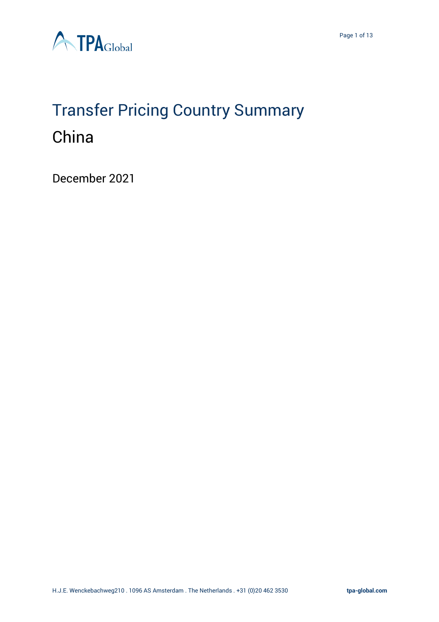

# Transfer Pricing Country Summary China

December 2021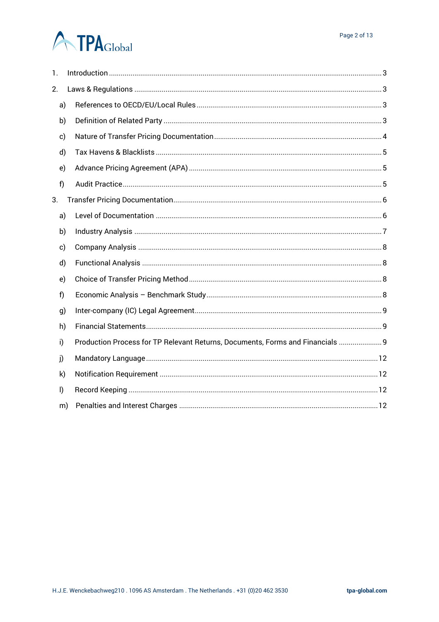# **A TPA**Global

| 1.           |    |                                                                                |  |
|--------------|----|--------------------------------------------------------------------------------|--|
| 2.           |    |                                                                                |  |
| a)           |    |                                                                                |  |
| b)           |    |                                                                                |  |
| c)           |    |                                                                                |  |
| d)           |    |                                                                                |  |
| e)           |    |                                                                                |  |
| f)           |    |                                                                                |  |
| 3.           |    |                                                                                |  |
| a)           |    |                                                                                |  |
| b)           |    |                                                                                |  |
| c)           |    |                                                                                |  |
| d)           |    |                                                                                |  |
| e)           |    |                                                                                |  |
| f)           |    |                                                                                |  |
| g)           |    |                                                                                |  |
| h)           |    |                                                                                |  |
| i)           |    | Production Process for TP Relevant Returns, Documents, Forms and Financials  9 |  |
| j)           |    |                                                                                |  |
| k)           |    |                                                                                |  |
| $\mathsf{I}$ |    |                                                                                |  |
|              | m) |                                                                                |  |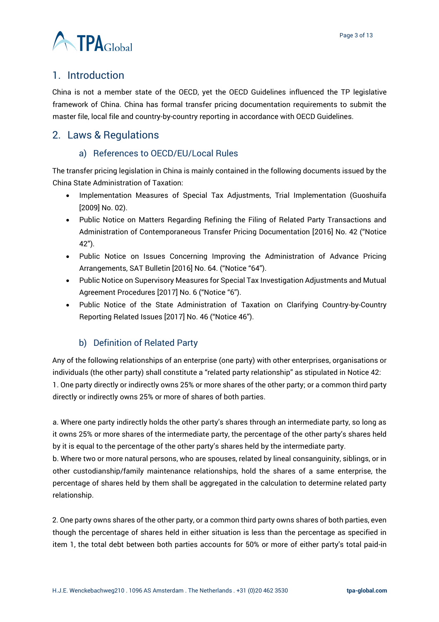

# <span id="page-2-0"></span>1. Introduction

China is not a member state of the OECD, yet the OECD Guidelines influenced the TP legislative framework of China. China has formal transfer pricing documentation requirements to submit the master file, local file and country-by-country reporting in accordance with OECD Guidelines.

### <span id="page-2-2"></span><span id="page-2-1"></span>2. Laws & Regulations

#### a) References to OECD/EU/Local Rules

The transfer pricing legislation in China is mainly contained in the following documents issued by the China State Administration of Taxation:

- Implementation Measures of Special Tax Adjustments, Trial Implementation (Guoshuifa [2009] No. 02).
- Public Notice on Matters Regarding Refining the Filing of Related Party Transactions and Administration of Contemporaneous Transfer Pricing Documentation [2016] No. 42 ("Notice 42").
- Public Notice on Issues Concerning Improving the Administration of Advance Pricing Arrangements, SAT Bulletin [2016] No. 64. ("Notice "64").
- Public Notice on Supervisory Measures for Special Tax Investigation Adjustments and Mutual Agreement Procedures [2017] No. 6 ("Notice "6").
- Public Notice of the State Administration of Taxation on Clarifying Country-by-Country Reporting Related Issues [2017] No. 46 ("Notice 46").

### b) Definition of Related Party

<span id="page-2-3"></span>Any of the following relationships of an enterprise (one party) with other enterprises, organisations or individuals (the other party) shall constitute a "related party relationship" as stipulated in Notice 42:

1. One party directly or indirectly owns 25% or more shares of the other party; or a common third party directly or indirectly owns 25% or more of shares of both parties.

a. Where one party indirectly holds the other party's shares through an intermediate party, so long as it owns 25% or more shares of the intermediate party, the percentage of the other party's shares held by it is equal to the percentage of the other party's shares held by the intermediate party.

b. Where two or more natural persons, who are spouses, related by lineal consanguinity, siblings, or in other custodianship/family maintenance relationships, hold the shares of a same enterprise, the percentage of shares held by them shall be aggregated in the calculation to determine related party relationship.

2. One party owns shares of the other party, or a common third party owns shares of both parties, even though the percentage of shares held in either situation is less than the percentage as specified in item 1, the total debt between both parties accounts for 50% or more of either party's total paid-in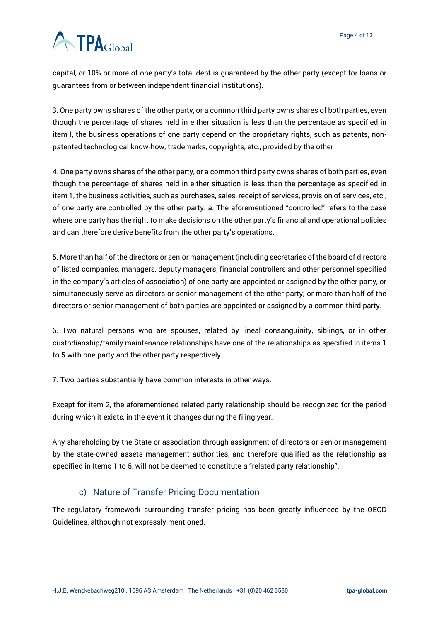# **ATPA**Global

capital, or 10% or more of one party's total debt is guaranteed by the other party (except for loans or guarantees from or between independent financial institutions).

3. One party owns shares of the other party, or a common third party owns shares of both parties, even though the percentage of shares held in either situation is less than the percentage as specified in item I, the business operations of one party depend on the proprietary rights, such as patents, nonpatented technological know-how, trademarks, copyrights, etc., provided by the other

4. One party owns shares of the other party, or a common third party owns shares of both parties, even though the percentage of shares held in either situation is less than the percentage as specified in item 1, the business activities, such as purchases, sales, receipt of services, provision of services, etc., of one party are controlled by the other party. a. The aforementioned "controlled" refers to the case where one party has the right to make decisions on the other party's financial and operational policies and can therefore derive benefits from the other party's operations.

5. More than half of the directors or senior management (including secretaries of the board of directors of listed companies, managers, deputy managers, financial controllers and other personnel specified in the company's articles of association) of one party are appointed or assigned by the other party, or simultaneously serve as directors or senior management of the other party; or more than half of the directors or senior management of both parties are appointed or assigned by a common third party.

6. Two natural persons who are spouses, related by lineal consanguinity, siblings, or in other custodianship/family maintenance relationships have one of the relationships as specified in items 1 to 5 with one party and the other party respectively.

7. Two parties substantially have common interests in other ways.

Except for item 2, the aforementioned related party relationship should be recognized for the period during which it exists, in the event it changes during the filing year.

Any shareholding by the State or association through assignment of directors or senior management by the state-owned assets management authorities, and therefore qualified as the relationship as specified in Items 1 to 5, will not be deemed to constitute a "related party relationship".

### c) Nature of Transfer Pricing Documentation

<span id="page-3-0"></span>The regulatory framework surrounding transfer pricing has been greatly influenced by the OECD Guidelines, although not expressly mentioned.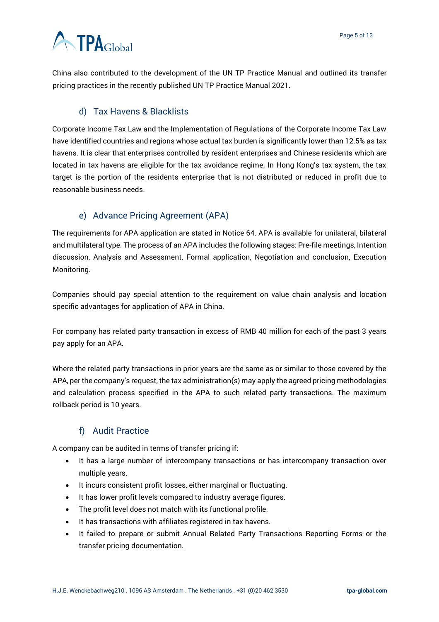# **A** TPAGlobal

China also contributed to the development of the UN TP Practice Manual and outlined its transfer pricing practices in the recently published UN TP Practice Manual 2021.

### d) Tax Havens & Blacklists

<span id="page-4-0"></span>Corporate Income Tax Law and the Implementation of Regulations of the Corporate Income Tax Law have identified countries and regions whose actual tax burden is significantly lower than 12.5% as tax havens. It is clear that enterprises controlled by resident enterprises and Chinese residents which are located in tax havens are eligible for the tax avoidance regime. In Hong Kong's tax system, the tax target is the portion of the residents enterprise that is not distributed or reduced in profit due to reasonable business needs.

### e) Advance Pricing Agreement (APA)

<span id="page-4-1"></span>The requirements for APA application are stated in Notice 64. APA is available for unilateral, bilateral and multilateral type. The process of an APA includes the following stages: Pre-file meetings, Intention discussion, Analysis and Assessment, Formal application, Negotiation and conclusion, Execution Monitoring.

Companies should pay special attention to the requirement on value chain analysis and location specific advantages for application of APA in China.

For company has related party transaction in excess of RMB 40 million for each of the past 3 years pay apply for an APA.

Where the related party transactions in prior years are the same as or similar to those covered by the APA, per the company's request, the tax administration(s) may apply the agreed pricing methodologies and calculation process specified in the APA to such related party transactions. The maximum rollback period is 10 years.

### f) Audit Practice

<span id="page-4-2"></span>A company can be audited in terms of transfer pricing if:

- It has a large number of intercompany transactions or has intercompany transaction over multiple years.
- It incurs consistent profit losses, either marginal or fluctuating.
- It has lower profit levels compared to industry average figures.
- The profit level does not match with its functional profile.
- It has transactions with affiliates registered in tax havens.
- It failed to prepare or submit Annual Related Party Transactions Reporting Forms or the transfer pricing documentation.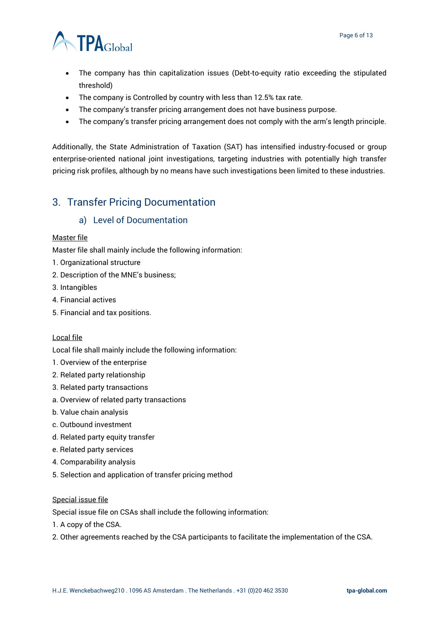

- The company has thin capitalization issues (Debt-to-equity ratio exceeding the stipulated threshold)
- The company is Controlled by country with less than 12.5% tax rate.
- The company's transfer pricing arrangement does not have business purpose.
- The company's transfer pricing arrangement does not comply with the arm's length principle.

Additionally, the State Administration of Taxation (SAT) has intensified industry-focused or group enterprise-oriented national joint investigations, targeting industries with potentially high transfer pricing risk profiles, although by no means have such investigations been limited to these industries.

# <span id="page-5-1"></span><span id="page-5-0"></span>3. Transfer Pricing Documentation

#### a) Level of Documentation

#### Master file

Master file shall mainly include the following information:

- 1. Organizational structure
- 2. Description of the MNE's business;
- 3. Intangibles
- 4. Financial actives
- 5. Financial and tax positions.

#### Local file

Local file shall mainly include the following information:

- 1. Overview of the enterprise
- 2. Related party relationship
- 3. Related party transactions
- a. Overview of related party transactions
- b. Value chain analysis
- c. Outbound investment
- d. Related party equity transfer
- e. Related party services
- 4. Comparability analysis
- 5. Selection and application of transfer pricing method

#### Special issue file

Special issue file on CSAs shall include the following information:

- 1. A copy of the CSA.
- 2. Other agreements reached by the CSA participants to facilitate the implementation of the CSA.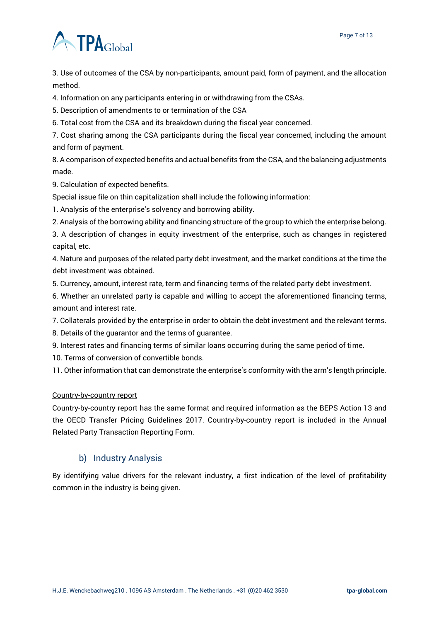# **ATPA**Global

3. Use of outcomes of the CSA by non-participants, amount paid, form of payment, and the allocation method.

4. Information on any participants entering in or withdrawing from the CSAs.

5. Description of amendments to or termination of the CSA

6. Total cost from the CSA and its breakdown during the fiscal year concerned.

7. Cost sharing among the CSA participants during the fiscal year concerned, including the amount and form of payment.

8. A comparison of expected benefits and actual benefits from the CSA, and the balancing adjustments made.

9. Calculation of expected benefits.

Special issue file on thin capitalization shall include the following information:

1. Analysis of the enterprise's solvency and borrowing ability.

2. Analysis of the borrowing ability and financing structure of the group to which the enterprise belong.

3. A description of changes in equity investment of the enterprise, such as changes in registered capital, etc.

4. Nature and purposes of the related party debt investment, and the market conditions at the time the debt investment was obtained.

5. Currency, amount, interest rate, term and financing terms of the related party debt investment.

6. Whether an unrelated party is capable and willing to accept the aforementioned financing terms, amount and interest rate.

7. Collaterals provided by the enterprise in order to obtain the debt investment and the relevant terms.

8. Details of the guarantor and the terms of guarantee.

9. Interest rates and financing terms of similar loans occurring during the same period of time.

10. Terms of conversion of convertible bonds.

11. Other information that can demonstrate the enterprise's conformity with the arm's length principle.

#### Country-by-country report

Country-by-country report has the same format and required information as the BEPS Action 13 and the OECD Transfer Pricing Guidelines 2017. Country-by-country report is included in the Annual Related Party Transaction Reporting Form.

#### b) Industry Analysis

<span id="page-6-0"></span>By identifying value drivers for the relevant industry, a first indication of the level of profitability common in the industry is being given.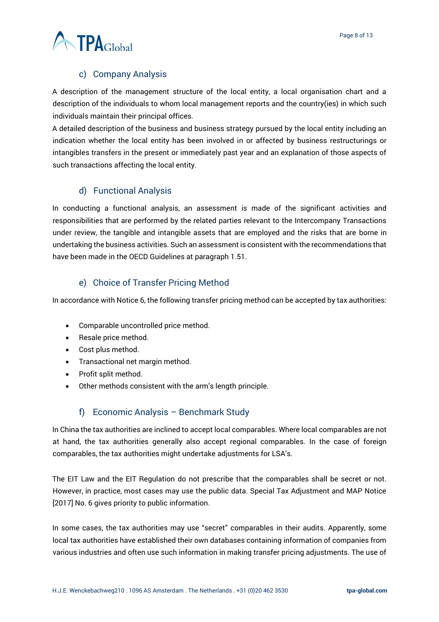

#### c) Company Analysis

<span id="page-7-0"></span>A description of the management structure of the local entity, a local organisation chart and a description of the individuals to whom local management reports and the country(ies) in which such individuals maintain their principal offices.

A detailed description of the business and business strategy pursued by the local entity including an indication whether the local entity has been involved in or affected by business restructurings or intangibles transfers in the present or immediately past year and an explanation of those aspects of such transactions affecting the local entity.

### d) Functional Analysis

<span id="page-7-1"></span>In conducting a functional analysis, an assessment is made of the significant activities and responsibilities that are performed by the related parties relevant to the Intercompany Transactions under review, the tangible and intangible assets that are employed and the risks that are borne in undertaking the business activities. Such an assessment is consistent with the recommendations that have been made in the OECD Guidelines at paragraph 1.51.

### e) Choice of Transfer Pricing Method

<span id="page-7-2"></span>In accordance with Notice 6, the following transfer pricing method can be accepted by tax authorities:

- Comparable uncontrolled price method.
- Resale price method.
- Cost plus method.
- Transactional net margin method.
- Profit split method.
- Other methods consistent with the arm's length principle.

#### f) Economic Analysis – Benchmark Study

<span id="page-7-3"></span>In China the tax authorities are inclined to accept local comparables. Where local comparables are not at hand, the tax authorities generally also accept regional comparables. In the case of foreign comparables, the tax authorities might undertake adjustments for LSA's.

The EIT Law and the EIT Regulation do not prescribe that the comparables shall be secret or not. However, in practice, most cases may use the public data. Special Tax Adjustment and MAP Notice [2017] No. 6 gives priority to public information.

In some cases, the tax authorities may use "secret" comparables in their audits. Apparently, some local tax authorities have established their own databases containing information of companies from various industries and often use such information in making transfer pricing adjustments. The use of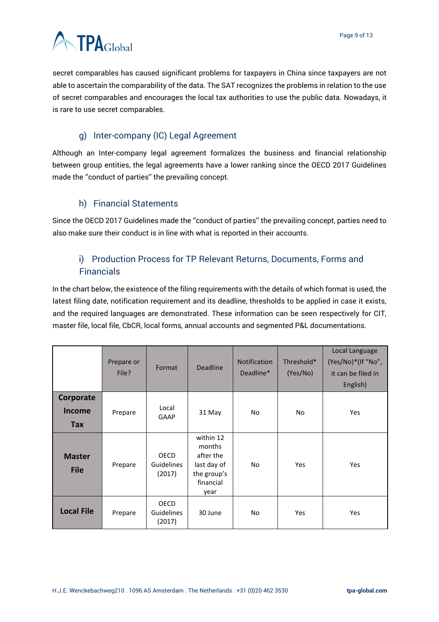

secret comparables has caused significant problems for taxpayers in China since taxpayers are not able to ascertain the comparability of the data. The SAT recognizes the problems in relation to the use of secret comparables and encourages the local tax authorities to use the public data. Nowadays, it is rare to use secret comparables.

### g) Inter-company (IC) Legal Agreement

<span id="page-8-0"></span>Although an Inter-company legal agreement formalizes the business and financial relationship between group entities, the legal agreements have a lower ranking since the OECD 2017 Guidelines made the ''conduct of parties'' the prevailing concept.

### h) Financial Statements

<span id="page-8-1"></span>Since the OECD 2017 Guidelines made the ''conduct of parties'' the prevailing concept, parties need to also make sure their conduct is in line with what is reported in their accounts.

# <span id="page-8-2"></span>i) Production Process for TP Relevant Returns, Documents, Forms and **Financials**

In the chart below, the existence of the filing requirements with the details of which format is used, the latest filing date, notification requirement and its deadline, thresholds to be applied in case it exists, and the required languages are demonstrated. These information can be seen respectively for CIT, master file, local file, CbCR, local forms, annual accounts and segmented P&L documentations.

|                                   | Prepare or<br>File? | Format                                     | <b>Deadline</b>                                                                     | <b>Notification</b><br>Deadline* | Threshold*<br>(Yes/No) | Local Language<br>(Yes/No)*(If "No",<br>it can be filed in<br>English) |
|-----------------------------------|---------------------|--------------------------------------------|-------------------------------------------------------------------------------------|----------------------------------|------------------------|------------------------------------------------------------------------|
| Corporate<br><b>Income</b><br>Tax | Prepare             | Local<br><b>GAAP</b>                       | 31 May                                                                              | No                               | No                     | Yes                                                                    |
| <b>Master</b><br><b>File</b>      | Prepare             | <b>OECD</b><br><b>Guidelines</b><br>(2017) | within 12<br>months<br>after the<br>last day of<br>the group's<br>financial<br>year | No.                              | Yes                    | Yes                                                                    |
| <b>Local File</b>                 | Prepare             | <b>OECD</b><br><b>Guidelines</b><br>(2017) | 30 June                                                                             | No                               | Yes                    | Yes                                                                    |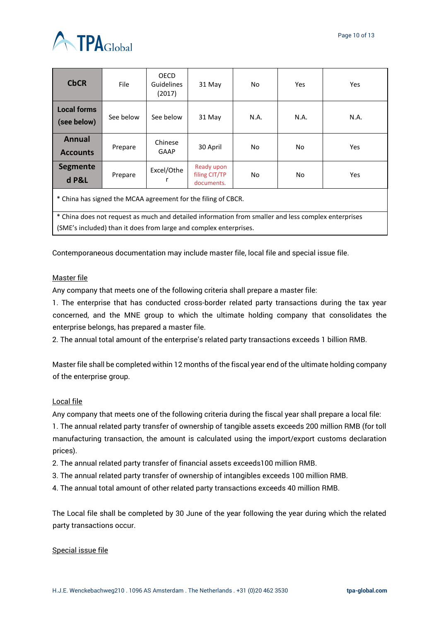

| <b>CbCR</b>                                                                                                                                                          | File      | <b>OECD</b><br><b>Guidelines</b><br>(2017) | 31 May                                    | No   | <b>Yes</b> | Yes. |  |  |  |
|----------------------------------------------------------------------------------------------------------------------------------------------------------------------|-----------|--------------------------------------------|-------------------------------------------|------|------------|------|--|--|--|
| <b>Local forms</b><br>(see below)                                                                                                                                    | See below | See below                                  | 31 May                                    | N.A. | N.A.       | N.A. |  |  |  |
| <b>Annual</b><br><b>Accounts</b>                                                                                                                                     | Prepare   | Chinese<br>GAAP                            | 30 April                                  | No   | No         | Yes  |  |  |  |
| <b>Segmente</b><br>d P&L                                                                                                                                             | Prepare   | Excel/Othe                                 | Ready upon<br>filing CIT/TP<br>documents. | No   | No         | Yes. |  |  |  |
| * China has signed the MCAA agreement for the filing of CBCR.<br>* China does not request as much and detailed information from smaller and less complex enterprises |           |                                            |                                           |      |            |      |  |  |  |
| (SME's included) than it does from large and complex enterprises.                                                                                                    |           |                                            |                                           |      |            |      |  |  |  |

Contemporaneous documentation may include master file, local file and special issue file.

#### Master file

Any company that meets one of the following criteria shall prepare a master file:

1. The enterprise that has conducted cross-border related party transactions during the tax year concerned, and the MNE group to which the ultimate holding company that consolidates the enterprise belongs, has prepared a master file.

2. The annual total amount of the enterprise's related party transactions exceeds 1 billion RMB.

Master file shall be completed within 12 months of the fiscal year end of the ultimate holding company of the enterprise group.

#### Local file

Any company that meets one of the following criteria during the fiscal year shall prepare a local file:

1. The annual related party transfer of ownership of tangible assets exceeds 200 million RMB (for toll manufacturing transaction, the amount is calculated using the import/export customs declaration prices).

- 2. The annual related party transfer of financial assets exceeds100 million RMB.
- 3. The annual related party transfer of ownership of intangibles exceeds 100 million RMB.
- 4. The annual total amount of other related party transactions exceeds 40 million RMB.

The Local file shall be completed by 30 June of the year following the year during which the related party transactions occur.

#### Special issue file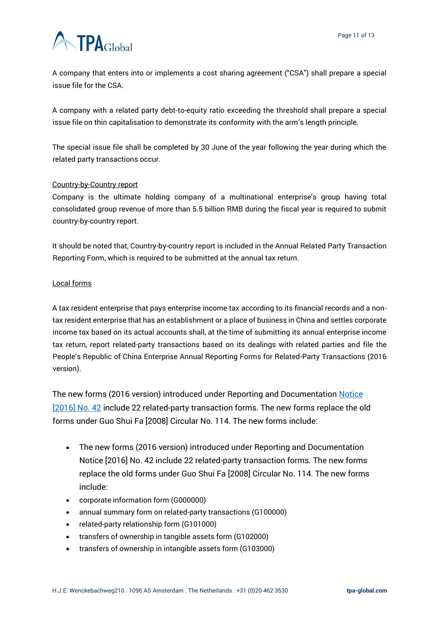# **ATPA**Global

A company that enters into or implements a cost sharing agreement ("CSA") shall prepare a special issue file for the CSA.

A company with a related party debt-to-equity ratio exceeding the threshold shall prepare a special issue file on thin capitalisation to demonstrate its conformity with the arm's length principle.

The special issue file shall be completed by 30 June of the year following the year during which the related party transactions occur.

#### Country-by-Country report

Company is the ultimate holding company of a multinational enterprise's group having total consolidated group revenue of more than 5.5 billion RMB during the fiscal year is required to submit country-by-country report.

It should be noted that, Country-by-country report is included in the Annual Related Party Transaction Reporting Form, which is required to be submitted at the annual tax return.

#### Local forms

A tax resident enterprise that pays enterprise income tax according to its financial records and a nontax resident enterprise that has an establishment or a place of business in China and settles corporate income tax based on its actual accounts shall, at the time of submitting its annual enterprise income tax return, report related-party transactions based on its dealings with related parties and file the People's Republic of China Enterprise Annual Reporting Forms for Related-Party Transactions (2016 version).

The new forms (2016 version) introduced under Reporting and Documentation Notice [\[2016\] No. 42](https://research.ibfd.org/linkresolver/static/tp_cn_s_20.2.2.) include 22 related-party transaction forms. The new forms replace the old forms under Guo Shui Fa [2008] Circular No. 114. The new forms include:

- The new forms (2016 version) introduced under Reporting and Documentation Notice [2016] No. 42 include 22 related-party transaction forms. The new forms replace the old forms under Guo Shui Fa [2008] Circular No. 114. The new forms include:
- corporate information form (G000000)
- annual summary form on related-party transactions (G100000)
- related-party relationship form (G101000)
- transfers of ownership in tangible assets form (G102000)
- transfers of ownership in intangible assets form (G103000)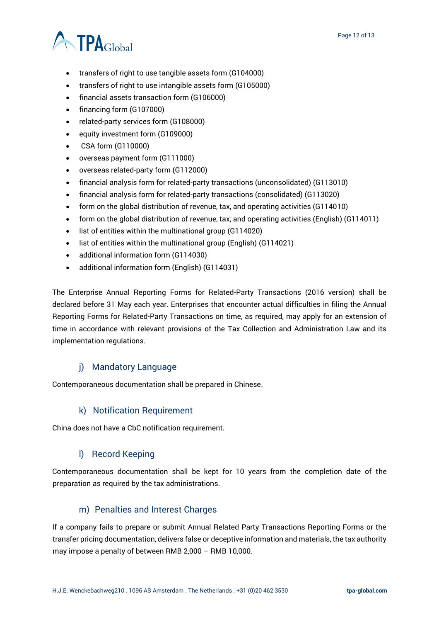# **A TPA**Global

- transfers of right to use tangible assets form (G104000)
- transfers of right to use intangible assets form (G105000)
- financial assets transaction form (G106000)
- financing form (G107000)
- related-party services form (G108000)
- equity investment form (G109000)
- CSA form (G110000)
- overseas payment form (G111000)
- overseas related-party form (G112000)
- financial analysis form for related-party transactions (unconsolidated) (G113010)
- financial analysis form for related-party transactions (consolidated) (G113020)
- form on the global distribution of revenue, tax, and operating activities (G114010)
- form on the global distribution of revenue, tax, and operating activities (English) (G114011)
- list of entities within the multinational group (G114020)
- list of entities within the multinational group (English) (G114021)
- additional information form (G114030)
- additional information form (English) (G114031)

The Enterprise Annual Reporting Forms for Related-Party Transactions (2016 version) shall be declared before 31 May each year. Enterprises that encounter actual difficulties in filing the Annual Reporting Forms for Related-Party Transactions on time, as required, may apply for an extension of time in accordance with relevant provisions of the Tax Collection and Administration Law and its implementation regulations.

### j) Mandatory Language

<span id="page-11-0"></span>Contemporaneous documentation shall be prepared in Chinese.

#### k) Notification Requirement

<span id="page-11-1"></span>China does not have a CbC notification requirement.

#### l) Record Keeping

<span id="page-11-2"></span>Contemporaneous documentation shall be kept for 10 years from the completion date of the preparation as required by the tax administrations.

#### m) Penalties and Interest Charges

<span id="page-11-3"></span>If a company fails to prepare or submit Annual Related Party Transactions Reporting Forms or the transfer pricing documentation, delivers false or deceptive information and materials, the tax authority may impose a penalty of between RMB 2,000 – RMB 10,000.